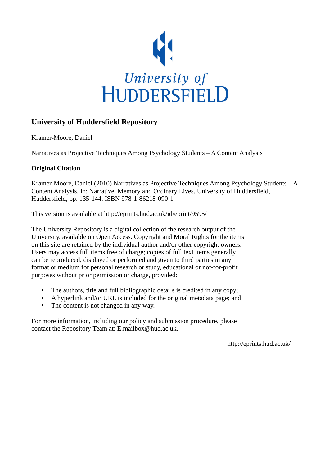

# **University of Huddersfield Repository**

Kramer-Moore, Daniel

Narratives as Projective Techniques Among Psychology Students – A Content Analysis

# **Original Citation**

Kramer-Moore, Daniel (2010) Narratives as Projective Techniques Among Psychology Students  $-A$ Content Analysis. In: Narrative, Memory and Ordinary Lives. University of Huddersfield, Huddersfield, pp. 135-144. ISBN 978-1-86218-090-1

This version is available at http://eprints.hud.ac.uk/id/eprint/9595/

The University Repository is a digital collection of the research output of the University, available on Open Access. Copyright and Moral Rights for the items on this site are retained by the individual author and/or other copyright owners. Users may access full items free of charge; copies of full text items generally can be reproduced, displayed or performed and given to third parties in any format or medium for personal research or study, educational or not-for-profit purposes without prior permission or charge, provided:

- The authors, title and full bibliographic details is credited in any copy;
- A hyperlink and/or URL is included for the original metadata page; and
- The content is not changed in any way.

For more information, including our policy and submission procedure, please contact the Repository Team at: E.mailbox@hud.ac.uk.

http://eprints.hud.ac.uk/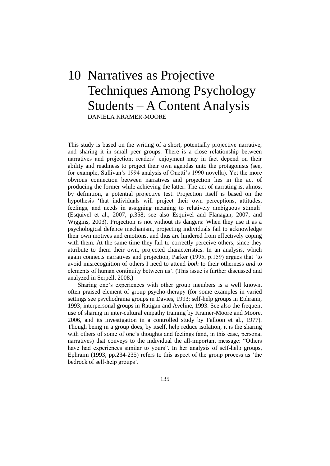# 10 Narratives as Projective Techniques Among Psychology Students – A Content Analysis DANIELA KRAMER-MOORE

This study is based on the writing of a short, potentially projective narrative, and sharing it in small peer groups. There is a close relationship between narratives and projection; readers' enjoyment may in fact depend on their ability and readiness to project their own agendas unto the protagonists (see, for example, Sullivan's 1994 analysis of Onetti's 1990 novella). Yet the more obvious connection between narratives and projection lies in the act of producing the former while achieving the latter: The act of narrating is, almost by definition, a potential projective test. Projection itself is based on the hypothesis 'that individuals will project their own perceptions, attitudes, feelings, and needs in assigning meaning to relatively ambiguous stimuli' (Esquivel et al., 2007, p.358; see also Esquivel and Flanagan, 2007, and Wiggins, 2003). Projection is not without its dangers: When they use it as a psychological defence mechanism, projecting individuals fail to acknowledge their own motives and emotions, and thus are hindered from effectively coping with them. At the same time they fail to correctly perceive others, since they attribute to them their own, projected characteristics. In an analysis, which again connects narratives and projection, Parker (1995, p.159) argues that 'to avoid misrecognition of others I need to attend *both* to their otherness *and* to elements of human continuity between us'. (This issue is further discussed and analyzed in Serpell, 2008.)

Sharing one's experiences with other group members is a well known, often praised element of group psycho-therapy (for some examples in varied settings see psychodrama groups in Davies, 1993; self-help groups in Ephraim, 1993; interpersonal groups in Ratigan and Aveline, 1993. See also the frequent use of sharing in inter-cultural empathy training by Kramer-Moore and Moore, 2006, and its investigation in a controlled study by Falloon et al., 1977). Though being in a group does, by itself, help reduce isolation, it is the sharing with others of some of one's thoughts and feelings (and, in this case, personal narratives) that conveys to the individual the all-important message: "Others have had experiences similar to yours". In her analysis of self-help groups, Ephraim  $(1993, pp.234-235)$  refers to this aspect of the group process as 'the bedrock of self-help groups'.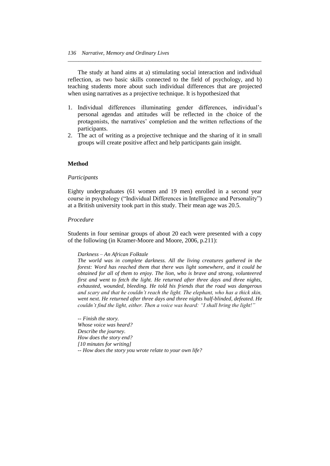The study at hand aims at a) stimulating social interaction and individual reflection, as two basic skills connected to the field of psychology, and b) teaching students more about such individual differences that are projected when using narratives as a projective technique. It is hypothesized that

*\_\_\_\_\_\_\_\_\_\_\_\_\_\_\_\_\_\_\_\_\_\_\_\_\_\_\_\_\_\_\_\_\_\_\_\_\_\_\_\_\_\_\_\_\_\_\_\_\_\_\_\_\_\_\_\_\_\_\_\_\_\_\_\_\_\_\_\_\_\_*

- 1. Individual differences illuminating gender differences, individual's personal agendas and attitudes will be reflected in the choice of the protagonists, the narratives' completion and the written reflections of the participants.
- 2. The act of writing as a projective technique and the sharing of it in small groups will create positive affect and help participants gain insight.

#### **Method**

#### *Participants*

Eighty undergraduates (61 women and 19 men) enrolled in a second year course in psychology ("Individual Differences in Intelligence and Personality") at a British university took part in this study. Their mean age was 20.5.

#### *Procedure*

Students in four seminar groups of about 20 each were presented with a copy of the following (in Kramer-Moore and Moore, 2006, p.211):

#### *Darkness – An African Folktale*

*The world was in complete darkness. All the living creatures gathered in the forest: Word has reached them that there was light somewhere, and it could be obtained for all of them to enjoy. The lion, who is brave and strong, volunteered first and went to fetch the light. He returned after three days and three nights, exhausted, wounded, bleeding. He told his friends that the road was dangerous and scary and that he couldn"t reach the light. The elephant, who has a thick skin, went next. He returned after three days and three nights half-blinded, defeated. He couldn"t find the light, either. Then a voice was heard: "I shall bring the light!"*

*-- Finish the story. Whose voice was heard? Describe the journey. How does the story end? [10 minutes for writing] -- How does the story you wrote relate to your own life?*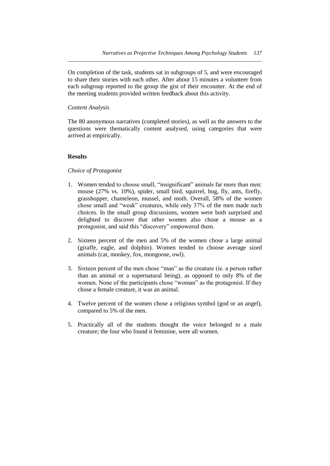On completion of the task, students sat in subgroups of 5, and were encouraged to share their stories with each other. After about 15 minutes a volunteer from each subgroup reported to the group the gist of their encounter. At the end of the meeting students provided written feedback about this activity.

*\_\_\_\_\_\_\_\_\_\_\_\_\_\_\_\_\_\_\_\_\_\_\_\_\_\_\_\_\_\_\_\_\_\_\_\_\_\_\_\_\_\_\_\_\_\_\_\_\_\_\_\_\_\_\_\_\_\_\_\_\_\_\_\_\_\_\_\_\_\_*

## *Content Analysis*

The 80 anonymous narratives (completed stories), as well as the answers to the questions were thematically content analysed, using categories that were arrived at empirically.

# **Results**

## *Choice of Protagonist*

- 1. Women tended to choose small, "insignificant" animals far more than men: mouse (27% vs. 10%), spider, small bird, squirrel, bug, fly, ants, firefly, grasshopper, chameleon, mussel, and moth. Overall, 58% of the women chose small and "weak" creatures, while only 37% of the men made such choices. In the small group discussions, women were both surprised and delighted to discover that other women also chose a mouse as a protagonist, and said this "discovery" empowered them.
- 2. Sixteen percent of the men and 5% of the women chose a large animal (giraffe, eagle, and dolphin). Women tended to choose average sized animals (cat, monkey, fox, mongoose, owl).
- 3. Sixteen percent of the men chose "man" as the creature (ie. a person rather than an animal or a supernatural being), as opposed to only 8% of the women. None of the participants chose "woman" as the protagonist. If they chose a female creature, it was an animal.
- 4. Twelve percent of the women chose a religious symbol (god or an angel), compared to 5% of the men.
- 5. Practically all of the students thought the voice belonged to a male creature; the four who found it feminine, were all women.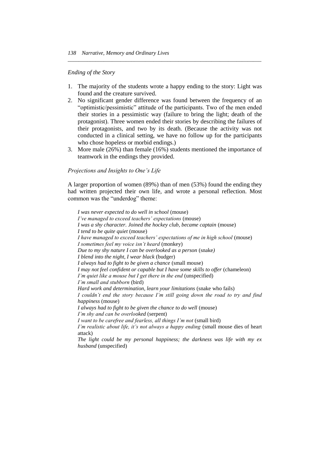#### *Ending of the Story*

1. The majority of the students wrote a happy ending to the story: Light was found and the creature survived.

*\_\_\_\_\_\_\_\_\_\_\_\_\_\_\_\_\_\_\_\_\_\_\_\_\_\_\_\_\_\_\_\_\_\_\_\_\_\_\_\_\_\_\_\_\_\_\_\_\_\_\_\_\_\_\_\_\_\_\_\_\_\_\_\_\_\_\_\_\_\_*

- 2. No significant gender difference was found between the frequency of an ―optimistic/pessimistic‖ attitude of the participants. Two of the men ended their stories in a pessimistic way (failure to bring the light; death of the protagonist). Three women ended their stories by describing the failures of their protagonists, and two by its death. (Because the activity was not conducted in a clinical setting, we have no follow up for the participants who chose hopeless or morbid endings.)
- 3. More male (26%) than female (16%) students mentioned the importance of teamwork in the endings they provided.

## *Projections and Insights to One"s Life*

*husband* (unspecified)

A larger proportion of women (89%) than of men (53%) found the ending they had written projected their own life, and wrote a personal reflection. Most common was the "underdog" theme:

*I was never expected to do well in school* (mouse) *I"ve managed to exceed teachers" expectations* (mouse) *I was a shy character. Joined the hockey club, became captain* (mouse) *I tend to be quite quiet* (mouse) *I have managed to exceed teachers' expectations of me in high school* (mouse) *I sometimes feel my voice isn"t heard* (monkey) *Due to my shy nature I can be overlooked as a person* (snake*) I blend into the night, I wear black* (budger) *I always had to fight to be given a chance* (small mouse) *I may not feel confident or capable but I have some skills to offer (chameleon) I"m quiet like a mouse but I get there in the end* (unspecified) *I"m small and stubborn* (bird) *Hard work and determination, learn your limitations* (snake who fails) *I couldn"t end the story because I"m still going down the road to try and find happiness* (mouse) *I always had to fight to be given the chance to do well* (mouse) *I"m shy and can be overlooked* (serpent) *I want to be carefree and fearless, all things I'm not (small bird) I'm realistic about life, it's not always a happy ending* (small mouse dies of heart attack) *The light could be my personal happiness; the darkness was life with my ex*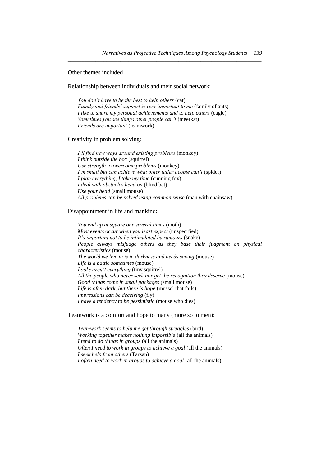*\_\_\_\_\_\_\_\_\_\_\_\_\_\_\_\_\_\_\_\_\_\_\_\_\_\_\_\_\_\_\_\_\_\_\_\_\_\_\_\_\_\_\_\_\_\_\_\_\_\_\_\_\_\_\_\_\_\_\_\_\_\_\_\_\_\_\_\_\_\_*

Other themes included

Relationship between individuals and their social network:

*You don"t have to be the best to help others* (cat) *Family and friends' support is very important to me (family of ants) I like to share my personal achievements and to help others (eagle) Sometimes you see things other people can"t* (meerkat) *Friends are important* (teamwork)

Creativity in problem solving:

*I"ll find new ways around existing problems* (monkey) *I think outside the box* (squirrel) *Use strength to overcome problems* (monkey) *I'm small but can achieve what other taller people can't (spider) I plan everything, I take my time* (cunning fox) *I deal with obstacles head on* (blind bat) *Use your head* (small mouse) *All problems can be solved using common sense* (man with chainsaw)

#### Disappointment in life and mankind:

*You end up at square one several times* (moth) *Most events occur when you least expect* (unspecified) *It"s important not to be intimidated by rumours* (snake) *People always misjudge others as they base their judgment on physical characteristics* (mouse) *The world we live in is in darkness and needs saving* (mouse) *Life is a battle sometimes* (mouse) *Looks aren"t everything* (tiny squirrel) *All the people who never seek nor get the recognition they deserve* (mouse) *Good things come in small packages* (small mouse) *Life is often dark, but there is hope* (mussel that fails) *Impressions can be deceiving* (fly) *I have a tendency to be pessimistic* (mouse who dies)

Teamwork is a comfort and hope to many (more so to men):

*Teamwork seems to help me get through struggles* (bird) *Working together makes nothing impossible* (all the animals) *I tend to do things in groups* (all the animals) *Often I need to work in groups to achieve a goal* (all the animals) *I seek help from others* (Tarzan) *I often need to work in groups to achieve a goal* (all the animals)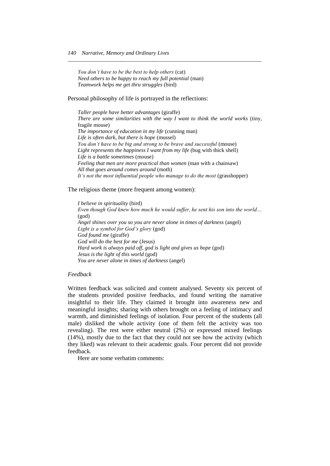*You don"t have to be the best to help others* (cat) *Need others to be happy to reach my full potential* (man) *Teamwork helps me get thru struggles* (bird)

Personal philosophy of life is portrayed in the reflections:

*Taller people have better advantages* (giraffe) *There are some similarities with the way I want to think the world works (tiny,* fragile mouse) *The importance of education in my life* (cunning man) *Life is often dark, but there is hope* (mussel) *You don"t have to be big and strong to be brave and successful* (mouse) *Light represents the happiness I want from my life* (bug with thick shell) *Life is a battle sometimes* (mouse) *Feeling that men are more practical than women* (man with a chainsaw) *All that goes around comes around* (moth) It's not the most influential people who manage to do the most (grasshopper)

*\_\_\_\_\_\_\_\_\_\_\_\_\_\_\_\_\_\_\_\_\_\_\_\_\_\_\_\_\_\_\_\_\_\_\_\_\_\_\_\_\_\_\_\_\_\_\_\_\_\_\_\_\_\_\_\_\_\_\_\_\_\_\_\_\_\_\_\_\_\_*

The religious theme (more frequent among women):

*I believe in spirituality* (bird) *Even though God knew how much he would suffer, he sent his son into the world…*  (god) *Angel shines over you so you are never alone in times of darkness* (angel) *Light is a symbol for God"s glory* (god) *God found me* (giraffe) *God will do the best for me* (Jesus) Hard work is always paid off, god is light and gives us hope (god) *Jesus is the light of this world* (god) *You are never alone in times of darkness* (angel)

#### *Feedback*

Written feedback was solicited and content analysed. Seventy six percent of the students provided positive feedbacks, and found writing the narrative insightful to their life. They claimed it brought into awareness new and meaningful insights; sharing with others brought on a feeling of intimacy and warmth, and diminished feelings of isolation. Four percent of the students (all male) disliked the whole activity (one of them felt the activity was too revealing). The rest were either neutral (2%) or expressed mixed feelings (14%), mostly due to the fact that they could not see how the activity (which they liked) was relevant to their academic goals. Four percent did not provide feedback.

Here are some verbatim comments: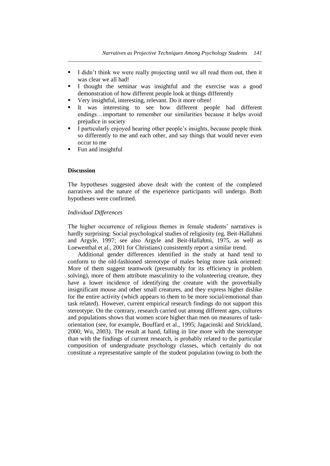I didn't think we were really projecting until we all read them out, then it was clear we all had!

*\_\_\_\_\_\_\_\_\_\_\_\_\_\_\_\_\_\_\_\_\_\_\_\_\_\_\_\_\_\_\_\_\_\_\_\_\_\_\_\_\_\_\_\_\_\_\_\_\_\_\_\_\_\_\_\_\_\_\_\_\_\_\_\_\_\_\_\_\_\_*

- I thought the seminar was insightful and the exercise was a good demonstration of how different people look at things differently
- Very insightful, interesting, relevant. Do it more often!
- It was interesting to see how different people had different endings…important to remember our similarities because it helps avoid prejudice in society
- I particularly enjoyed hearing other people's insights, because people think so differently to me and each other, and say things that would never even occur to me
- Fun and insightful

#### **Discussion**

The hypotheses suggested above dealt with the content of the completed narratives and the nature of the experience participants will undergo. Both hypotheses were confirmed.

#### *Individual Differences*

The higher occurrence of religious themes in female students' narratives is hardly surprising: Social psychological studies of religiosity (eg. Beit-Hallahmi and Argyle, 1997; see also Argyle and Beit-Hallahmi, 1975, as well as Loewenthal et al., 2001 for Christians) consistently report a similar trend.

Additional gender differences identified in the study at hand tend to conform to the old-fashioned stereotype of males being more task oriented: More of them suggest teamwork (presumably for its efficiency in problem solving), more of them attribute masculinity to the volunteering creature, they have a lower incidence of identifying the creature with the proverbially insignificant mouse and other small creatures, and they express higher dislike for the entire activity (which appears to them to be more social/emotional than task related). However, current empirical research findings do not support this stereotype. On the contrary, research carried out among different ages, cultures and populations shows that women score higher than men on measures of taskorientation (see, for example, Bouffard et al., 1995; Jagacinski and Strickland, 2000; Wu, 2003). The result at hand, falling in line more with the stereotype than with the findings of current research, is probably related to the particular composition of undergraduate psychology classes, which certainly do not constitute a representative sample of the student population (owing to both the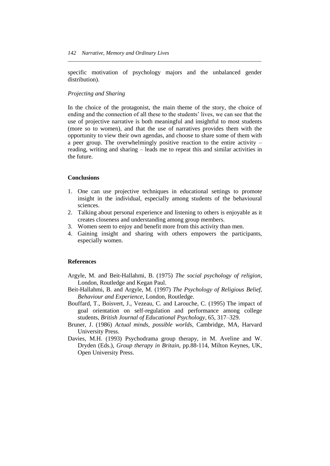specific motivation of psychology majors and the unbalanced gender distribution).

*\_\_\_\_\_\_\_\_\_\_\_\_\_\_\_\_\_\_\_\_\_\_\_\_\_\_\_\_\_\_\_\_\_\_\_\_\_\_\_\_\_\_\_\_\_\_\_\_\_\_\_\_\_\_\_\_\_\_\_\_\_\_\_\_\_\_\_\_\_\_*

# *Projecting and Sharing*

In the choice of the protagonist, the main theme of the story, the choice of ending and the connection of all these to the students' lives, we can see that the use of projective narrative is both meaningful and insightful to most students (more so to women), and that the use of narratives provides them with the opportunity to view their own agendas, and choose to share some of them with a peer group. The overwhelmingly positive reaction to the entire activity – reading, writing and sharing – leads me to repeat this and similar activities in the future.

#### **Conclusions**

- 1. One can use projective techniques in educational settings to promote insight in the individual, especially among students of the behavioural sciences.
- 2. Talking about personal experience and listening to others is enjoyable as it creates closeness and understanding among group members.
- 3. Women seem to enjoy and benefit more from this activity than men.
- 4. Gaining insight and sharing with others empowers the participants, especially women.

#### **References**

- Argyle, M. and Beit-Hallahmi, B. (1975) *The social psychology of religion*, London, Routledge and Kegan Paul.
- Beit-Hallahmi, B. and Argyle, M. (1997) *The Psychology of Religious Belief, Behaviour and Experience*, London, Routledge.
- Bouffard, T., Boisvert, J., Vezeau, C. and Larouche, C. (1995) The impact of goal orientation on self-regulation and performance among college students, *British Journal of Educational Psychology*, 65, 317–329.
- Bruner, J. (1986) *Actual minds, possible worlds*, Cambridge, MA, Harvard University Press.
- Davies, M.H. (1993) Psychodrama group therapy, in M. Aveline and W. Dryden (Eds.), *Group therapy in Britain*, pp.88-114, Milton Keynes, UK, Open University Press.